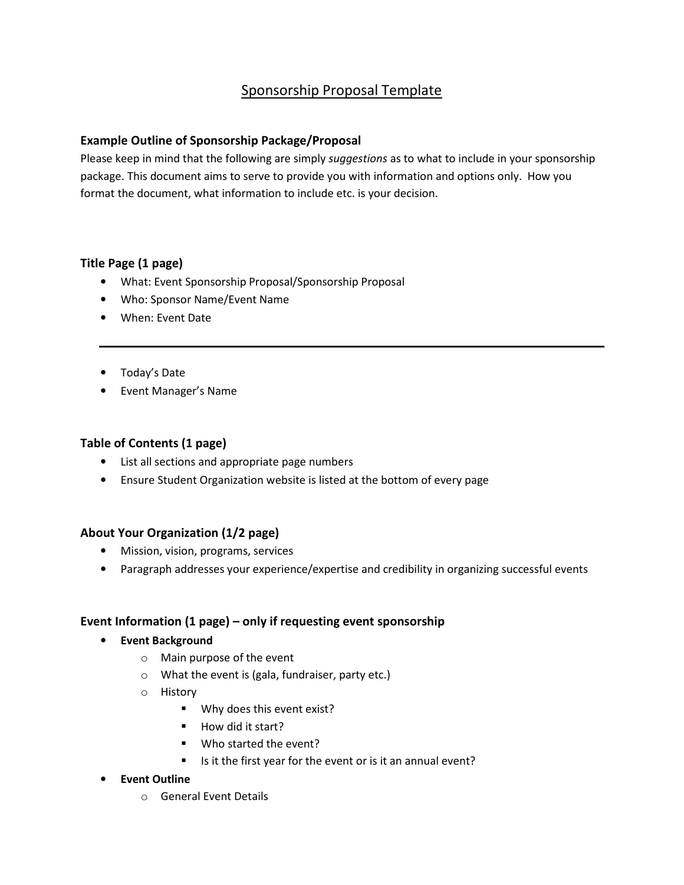# Sponsorship Proposal Template

# Example Outline of Sponsorship Package/Proposal

Please keep in mind that the following are simply suggestions as to what to include in your sponsorship package. This document aims to serve to provide you with information and options only. How you format the document, what information to include etc. is your decision.

## Title Page (1 page)

- What: Event Sponsorship Proposal/Sponsorship Proposal
- Who: Sponsor Name/Event Name
- When: Event Date
- Today's Date
- Event Manager's Name

# Table of Contents (1 page)

- List all sections and appropriate page numbers
- Ensure Student Organization website is listed at the bottom of every page

#### About Your Organization (1/2 page)

- Mission, vision, programs, services
- Paragraph addresses your experience/expertise and credibility in organizing successful events

## Event Information (1 page) – only if requesting event sponsorship

- Event Background
	- o Main purpose of the event
	- o What the event is (gala, fundraiser, party etc.)
	- o History
		- **Why does this event exist?**
		- How did it start?
		- Who started the event?
		- Is it the first year for the event or is it an annual event?

#### • Event Outline

o General Event Details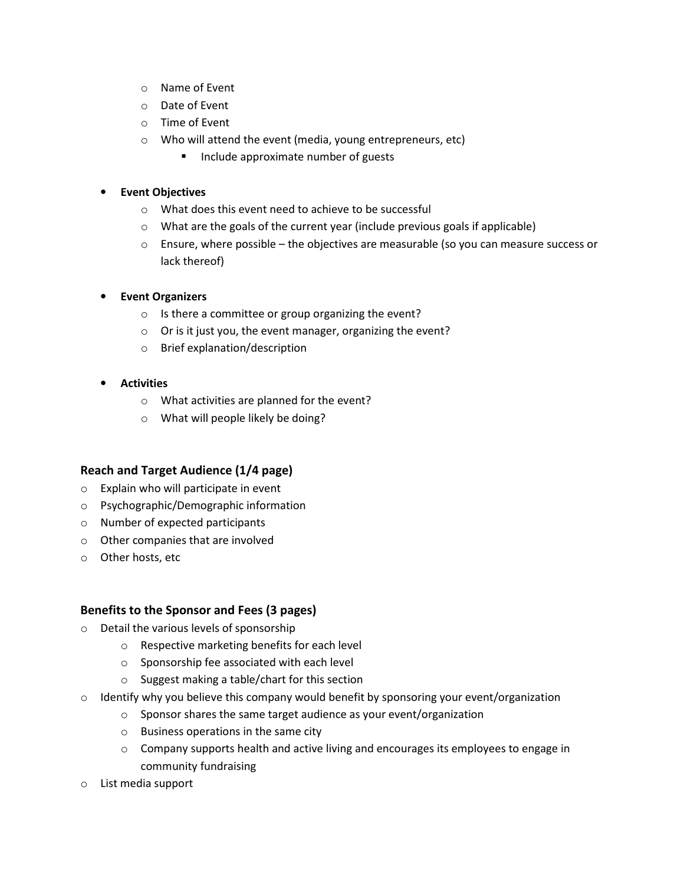- o Name of Event
- o Date of Event
- o Time of Event
- o Who will attend the event (media, young entrepreneurs, etc)
	- **Include approximate number of guests**

#### **Event Objectives**

- o What does this event need to achieve to be successful
- o What are the goals of the current year (include previous goals if applicable)
- $\circ$  Ensure, where possible the objectives are measurable (so you can measure success or lack thereof)
- **Event Organizers** 
	- o Is there a committee or group organizing the event?
	- o Or is it just you, the event manager, organizing the event?
	- o Brief explanation/description
- **Activities** 
	- o What activities are planned for the event?
	- o What will people likely be doing?

## Reach and Target Audience (1/4 page)

- o Explain who will participate in event
- o Psychographic/Demographic information
- o Number of expected participants
- o Other companies that are involved
- o Other hosts, etc

#### Benefits to the Sponsor and Fees (3 pages)

- o Detail the various levels of sponsorship
	- o Respective marketing benefits for each level
	- o Sponsorship fee associated with each level
	- o Suggest making a table/chart for this section
- $\circ$  Identify why you believe this company would benefit by sponsoring your event/organization
	- o Sponsor shares the same target audience as your event/organization
	- o Business operations in the same city
	- $\circ$  Company supports health and active living and encourages its employees to engage in community fundraising
- o List media support